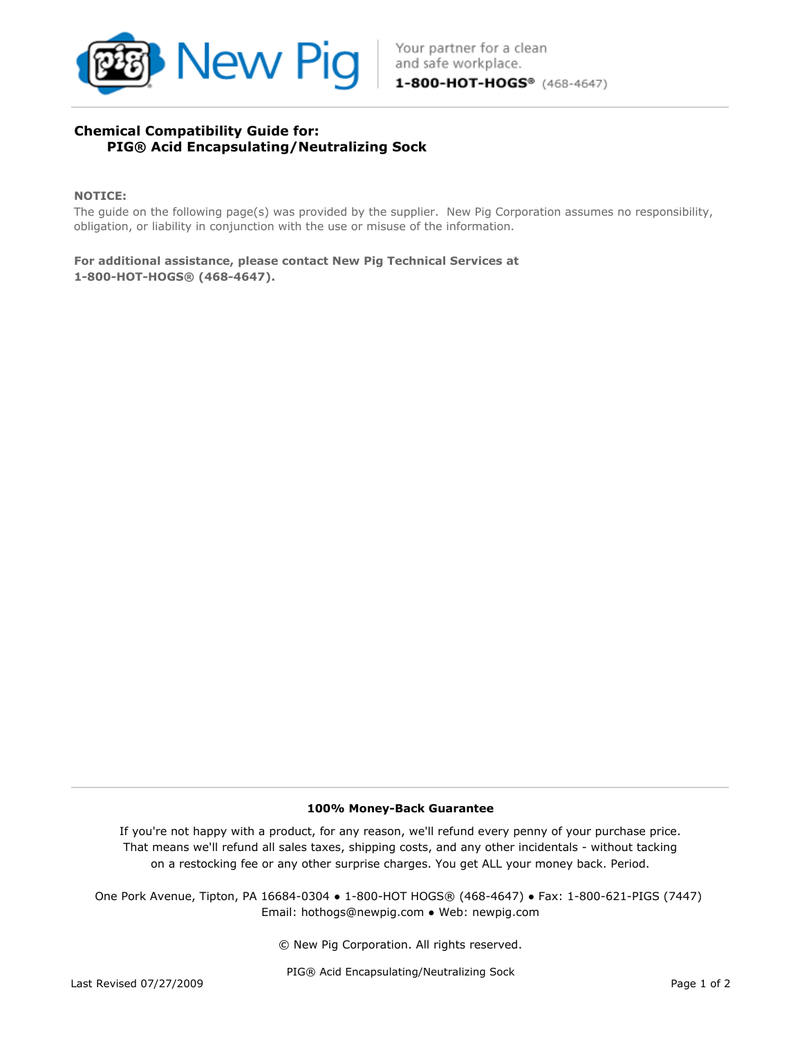

# Chemical Compatibility Guide for: PIG® Acid Encapsulating/Neutralizing Sock

### NOTICE:

The guide on the following page(s) was provided by the supplier. New Pig Corporation assumes no responsibility, obligation, or liability in conjunction with the use or misuse of the information.

1-800-HOT-HOGS® (468-4647). For additional assistance, please contact New Pig Technical Services at

#### 100% Money-Back Guarantee

If you're not happy with a product, for any reason, we'll refund every penny of your purchase price. That means we'll refund all sales taxes, shipping costs, and any other incidentals - without tacking on a restocking fee or any other surprise charges. You get ALL your money back. Period.

Email: hothogs@newpig.com ● Web: newpig.com One Pork Avenue, Tipton, PA 16684-0304 ● 1-800-HOT HOGS® (468-4647) ● Fax: 1-800-621-PIGS (7447)

© New Pig Corporation. All rights reserved.